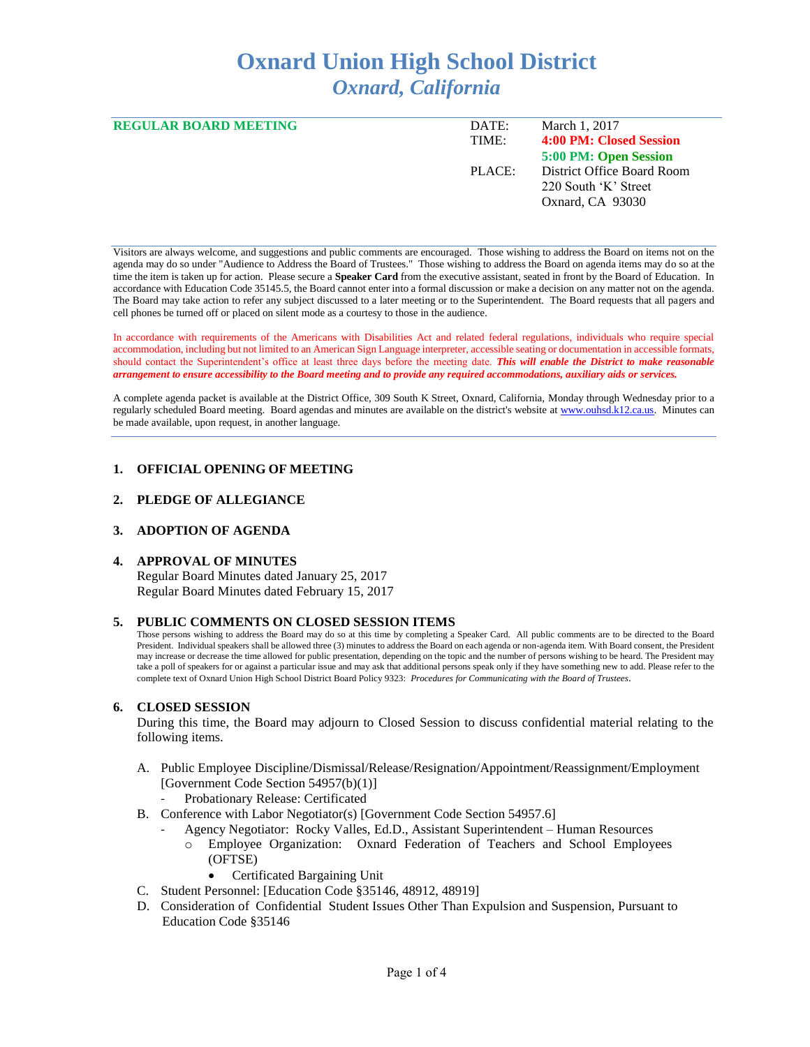# **Oxnard Union High School District** *Oxnard, California*

| <b>REGULAR BOARD MEETING</b> | DATE:  | March 1, 2017              |
|------------------------------|--------|----------------------------|
|                              | TIME:  | 4:00 PM: Closed Session    |
|                              |        | 5:00 PM: Open Session      |
|                              | PLACE: | District Office Board Room |
|                              |        | 220 South 'K' Street       |
|                              |        | Oxnard, CA 93030           |
|                              |        |                            |

Visitors are always welcome, and suggestions and public comments are encouraged. Those wishing to address the Board on items not on the agenda may do so under "Audience to Address the Board of Trustees." Those wishing to address the Board on agenda items may do so at the time the item is taken up for action. Please secure a **Speaker Card** from the executive assistant, seated in front by the Board of Education. In accordance with Education Code 35145.5, the Board cannot enter into a formal discussion or make a decision on any matter not on the agenda. The Board may take action to refer any subject discussed to a later meeting or to the Superintendent. The Board requests that all pagers and cell phones be turned off or placed on silent mode as a courtesy to those in the audience.

In accordance with requirements of the Americans with Disabilities Act and related federal regulations, individuals who require special accommodation, including but not limited to an American Sign Language interpreter, accessible seating or documentation in accessible formats, should contact the Superintendent's office at least three days before the meeting date. *This will enable the District to make reasonable arrangement to ensure accessibility to the Board meeting and to provide any required accommodations, auxiliary aids or services.* 

A complete agenda packet is available at the District Office, 309 South K Street, Oxnard, California, Monday through Wednesday prior to a regularly scheduled Board meeting. Board agendas and minutes are available on the district's website a[t www.ouhsd.k12.ca.us.](http://www.ouhsd.k12.ca.us/)Minutes can be made available, upon request, in another language.

## **1. OFFICIAL OPENING OF MEETING**

#### **2. PLEDGE OF ALLEGIANCE**

# **3. ADOPTION OF AGENDA**

#### **4. APPROVAL OF MINUTES**

Regular Board Minutes dated January 25, 2017 Regular Board Minutes dated February 15, 2017

#### **5. PUBLIC COMMENTS ON CLOSED SESSION ITEMS**

Those persons wishing to address the Board may do so at this time by completing a Speaker Card. All public comments are to be directed to the Board President. Individual speakers shall be allowed three (3) minutes to address the Board on each agenda or non-agenda item. With Board consent, the President may increase or decrease the time allowed for public presentation, depending on the topic and the number of persons wishing to be heard. The President may take a poll of speakers for or against a particular issue and may ask that additional persons speak only if they have something new to add. Please refer to the complete text of Oxnard Union High School District Board Policy 9323: *Procedures for Communicating with the Board of Trustees*.

#### **6. CLOSED SESSION**

During this time, the Board may adjourn to Closed Session to discuss confidential material relating to the following items.

- A. Public Employee Discipline/Dismissal/Release/Resignation/Appointment/Reassignment/Employment [Government Code Section 54957(b)(1)]
	- Probationary Release: Certificated
- B. Conference with Labor Negotiator(s) [Government Code Section 54957.6]
	- Agency Negotiator: Rocky Valles, Ed.D., Assistant Superintendent Human Resources o Employee Organization: Oxnard Federation of Teachers and School Employees (OFTSE)
		- Certificated Bargaining Unit
- C. Student Personnel: [Education Code §35146, 48912, 48919]
- D. Consideration of Confidential Student Issues Other Than Expulsion and Suspension, Pursuant to Education Code §35146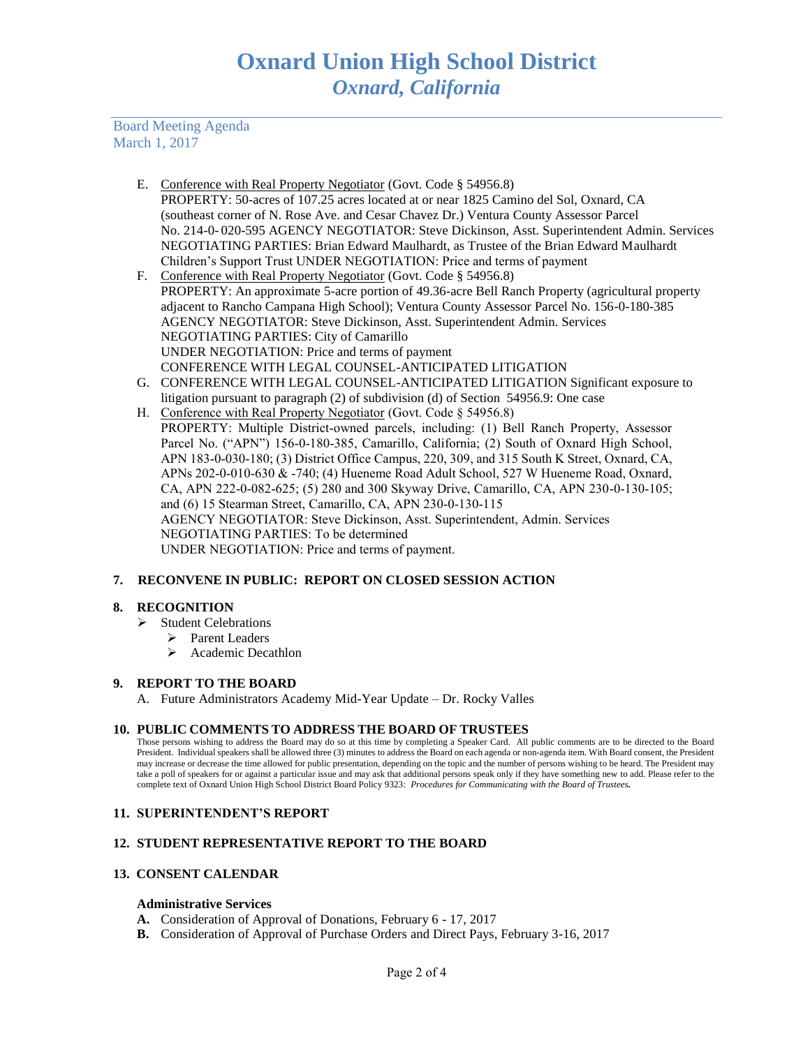Board Meeting Agenda March 1, 2017

- E. Conference with Real Property Negotiator (Govt. Code § 54956.8) PROPERTY: 50-acres of 107.25 acres located at or near 1825 Camino del Sol, Oxnard, CA (southeast corner of N. Rose Ave. and Cesar Chavez Dr.) Ventura County Assessor Parcel No. 214-0- 020-595 AGENCY NEGOTIATOR: Steve Dickinson, Asst. Superintendent Admin. Services NEGOTIATING PARTIES: Brian Edward Maulhardt, as Trustee of the Brian Edward Maulhardt Children's Support Trust UNDER NEGOTIATION: Price and terms of payment
- F. Conference with Real Property Negotiator (Govt. Code § 54956.8) PROPERTY: An approximate 5-acre portion of 49.36-acre Bell Ranch Property (agricultural property adjacent to Rancho Campana High School); Ventura County Assessor Parcel No. 156-0-180-385 AGENCY NEGOTIATOR: Steve Dickinson, Asst. Superintendent Admin. Services NEGOTIATING PARTIES: City of Camarillo UNDER NEGOTIATION: Price and terms of payment CONFERENCE WITH LEGAL COUNSEL-ANTICIPATED LITIGATION
- G. CONFERENCE WITH LEGAL COUNSEL-ANTICIPATED LITIGATION Significant exposure to litigation pursuant to paragraph (2) of subdivision (d) of Section 54956.9: One case
- H. Conference with Real Property Negotiator (Govt. Code § 54956.8) PROPERTY: Multiple District-owned parcels, including: (1) Bell Ranch Property, Assessor Parcel No. ("APN") 156-0-180-385, Camarillo, California; (2) South of Oxnard High School, APN 183-0-030-180; (3) District Office Campus, 220, 309, and 315 South K Street, Oxnard, CA, APNs 202-0-010-630 & -740; (4) Hueneme Road Adult School, 527 W Hueneme Road, Oxnard, CA, APN 222-0-082-625; (5) 280 and 300 Skyway Drive, Camarillo, CA, APN 230-0-130-105; and (6) 15 Stearman Street, Camarillo, CA, APN 230-0-130-115 AGENCY NEGOTIATOR: Steve Dickinson, Asst. Superintendent, Admin. Services NEGOTIATING PARTIES: To be determined UNDER NEGOTIATION: Price and terms of payment.

# **7. RECONVENE IN PUBLIC: REPORT ON CLOSED SESSION ACTION**

## **8. RECOGNITION**

- $\triangleright$  Student Celebrations
	- Parent Leaders
	- $\triangleright$  Academic Decathlon

#### **9. REPORT TO THE BOARD**

A. Future Administrators Academy Mid-Year Update – Dr. Rocky Valles

## **10. PUBLIC COMMENTS TO ADDRESS THE BOARD OF TRUSTEES**

Those persons wishing to address the Board may do so at this time by completing a Speaker Card. All public comments are to be directed to the Board President. Individual speakers shall be allowed three (3) minutes to address the Board on each agenda or non-agenda item. With Board consent, the President may increase or decrease the time allowed for public presentation, depending on the topic and the number of persons wishing to be heard. The President may take a poll of speakers for or against a particular issue and may ask that additional persons speak only if they have something new to add. Please refer to the complete text of Oxnard Union High School District Board Policy 9323: *Procedures for Communicating with the Board of Trustees.*

#### **11. SUPERINTENDENT'S REPORT**

## **12. STUDENT REPRESENTATIVE REPORT TO THE BOARD**

## **13. CONSENT CALENDAR**

#### **Administrative Services**

- **A.** Consideration of Approval of Donations, February 6 17, 2017
- **B.** Consideration of Approval of Purchase Orders and Direct Pays, February 3-16, 2017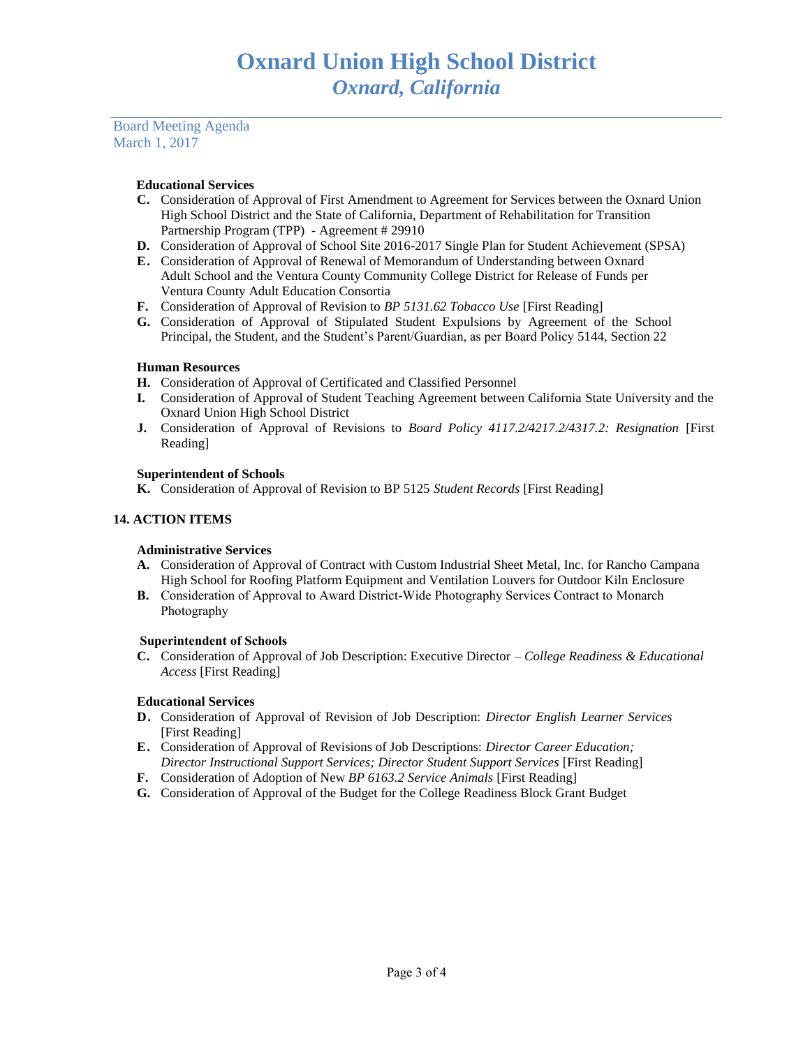Board Meeting Agenda March 1, 2017

## **Educational Services**

- **C.** Consideration of Approval of First Amendment to Agreement for Services between the Oxnard Union High School District and the State of California, Department of Rehabilitation for Transition Partnership Program (TPP) - Agreement # 29910
- **D.** Consideration of Approval of School Site 2016-2017 Single Plan for Student Achievement (SPSA)
- **E.** Consideration of Approval of Renewal of Memorandum of Understanding between Oxnard Adult School and the Ventura County Community College District for Release of Funds per Ventura County Adult Education Consortia
- **F.** Consideration of Approval of Revision to *BP 5131.62 Tobacco Use* [First Reading]
- **G.** Consideration of Approval of Stipulated Student Expulsions by Agreement of the School Principal, the Student, and the Student's Parent/Guardian, as per Board Policy 5144, Section 22

# **Human Resources**

- **H.** Consideration of Approval of Certificated and Classified Personnel
- **I.** Consideration of Approval of Student Teaching Agreement between California State University and the Oxnard Union High School District
- **J.** Consideration of Approval of Revisions to *Board Policy 4117.2/4217.2/4317.2: Resignation* [First Reading]

## **Superintendent of Schools**

**K.** Consideration of Approval of Revision to BP 5125 *Student Records* [First Reading]

# **14. ACTION ITEMS**

## **Administrative Services**

- **A.** Consideration of Approval of Contract with Custom Industrial Sheet Metal, Inc. for Rancho Campana High School for Roofing Platform Equipment and Ventilation Louvers for Outdoor Kiln Enclosure
- **B.** Consideration of Approval to Award District-Wide Photography Services Contract to Monarch Photography

## **Superintendent of Schools**

**C.** Consideration of Approval of Job Description: Executive Director – *College Readiness & Educational Access* [First Reading]

## **Educational Services**

- **D.** Consideration of Approval of Revision of Job Description: *Director English Learner Services*  [First Reading]
- **E.** Consideration of Approval of Revisions of Job Descriptions: *Director Career Education; Director Instructional Support Services; Director Student Support Services* [First Reading]
- **F.** Consideration of Adoption of New *BP 6163.2 Service Animals* [First Reading]
- **G.** Consideration of Approval of the Budget for the College Readiness Block Grant Budget